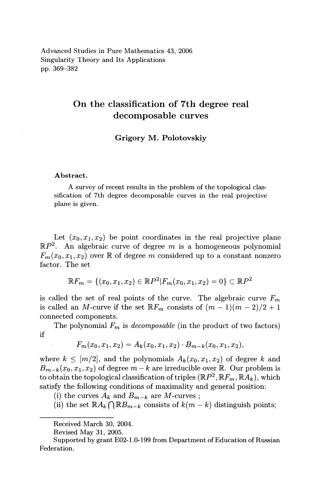Advanced Studies in Pure Mathematics 43, 2006 Singularity Theory and Its Applications pp. 369-382

# **On the classification of 7th degree real decomposable curves**

# **Grigory M. Polotovskiy**

#### Abstract.

A survey of recent results in the problem of the topological classification of 7th degree decomposable curves in the real projective plane is given.

Let  $(x_0, x_1, x_2)$  be point coordinates in the real projective plane  $\mathbb{R}P^2$ . An algebraic curve of degree m is a homogeneous polynomial  $F_m(x_0, x_1, x_2)$  over R of degree *m* considered up to a constant nonzero factor. The set

$$
\mathbb{R}F_m = \{(x_0, x_1, x_2) \in \mathbb{R}P^2 | F_m(x_0, x_1, x_2) = 0 \} \subset \mathbb{R}P^2
$$

is called the set of real points of the curve. The algebraic curve  $F_m$ is called an M-curve if the set  $\mathbb{R}F_m$  consists of  $(m-1)(m-2)/2 + 1$ connected components.

The polynomial  $F_m$  is *decomposable* (in the product of two factors) if

$$
F_m(x_0, x_1, x_2) = A_k(x_0, x_1, x_2) \cdot B_{m-k}(x_0, x_1, x_2),
$$

where  $k \leq [m/2]$ , and the polynomials  $A_k(x_0, x_1, x_2)$  of degree k and  $B_{m-k}(x_0, x_1, x_2)$  of degree  $m-k$  are irreducible over  $\mathbb R$ . Our problem is to obtain the topological classification of triples  $(\mathbb{R}P^2, \mathbb{R}F_m, \mathbb{R}A_k)$ , which satisfy the following conditions of maximality and general position:

(i) the curves  $A_k$  and  $B_{m-k}$  are M-curves;

(ii) the set  $\mathbb{R}A_k \cap \mathbb{R}B_{m-k}$  consists of  $k(m-k)$  distinguish points;

Supported by grant E02-1.0-199 from Department of Education of Russian Federation.

Received March 30, 2004.

Revised May 31, 2005.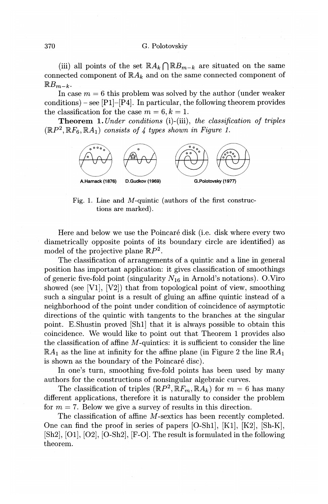#### 370 G. Polotovskiy

(iii) all points of the set  $\mathbb{R}A_k \cap \mathbb{R}B_{m-k}$  are situated on the same connected component of  $\mathbb{R}A_k$  and on the same connected component of  $\mathbb{R}B_{m-k}$ .

In case  $m = 6$  this problem was solved by the author (under weaker conditions) – see  $[P1]-[P4]$ . In particular, the following theorem provides the classification for the case  $m = 6, k = 1$ .

**Theorem 1.** *Under conditions* (i)-(iii), *the classification of triples*   $(\mathbb{R}P^2, \mathbb{R}F_6, \mathbb{R}A_1)$  *consists of 4 types shown in Figure 1.* 



Fig. 1. Line and M-quintic (authors of the first constructions are marked).

Here and below we use the Poincaré disk (i.e. disk where every two diametrically opposite points of its boundary circle are identified) as model of the projective plane  $\mathbb{R}P^2$ .

The classification of arrangements of a quintic and a line in general position has important application: it gives classification of smoothings of generic five-fold point (singularity  $N_{16}$  in Arnold's notations). O.Viro showed (see [V1], [V2]) that from topological point of view, smoothing such a singular point is a result of gluing an affine quintic instead of a neighborhood of the point under condition of coincidence of asymptotic directions of the quintic with tangents to the branches at the singular point. E.Shustin proved [Sh1] that it is always possible to obtain this coincidence. We would like to point out that Theorem 1 provides also the classification of affine *M* -quintics: it is sufficient to consider the line  $\mathbb{R}A_1$  as the line at infinity for the affine plane (in Figure 2 the line  $\mathbb{R}A_1$ is shown as the boundary of the Poincaré disc).

In one's turn, smoothing five-fold points has been used by many authors for the constructions of nonsingular algebraic curves.

The classification of triples  $(\mathbb{R}P^2, \mathbb{R}F_m, \mathbb{R}A_k)$  for  $m = 6$  has many different applications, therefore it is naturally to consider the problem for  $m = 7$ . Below we give a survey of results in this direction.

The classification of affine *M*-sextics has been recently completed. One can find the proof in series of papers [O-Sh1], [K1], [K2], [Sh-K], [Sh2], [01], [02], [O-Sh2], [F-0]. The result is formulated in the following theorem.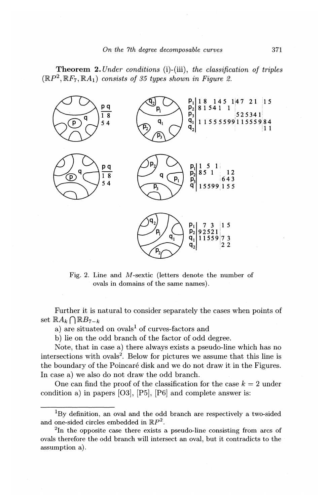Theorem 2. *Under conditions* (i)-(iii), *the classification of triples*   $(\mathbb{R}P^2, \mathbb{R}F_7, \mathbb{R}A_1)$  *consists of 35 types shown in Figure 2.* 



Fig. 2. Line and M-sextic (letters denote the number of ovals in domains of the same names) .

Further it is natural to consider separately the cases when points of set  $\mathbb{R} A_k \cap \mathbb{R} B_{7-k}$ 

a) are situated on  $\alpha$ vals<sup>1</sup> of curves-factors and

b) lie on the odd branch of the factor of odd degree.

Note, that in case a) there always exists a pseudo-line which has no intersections with ovals<sup>2</sup>. Below for pictures we assume that this line is the boundary of the Poincaré disk and we do not draw it in the Figures. In case a) we also do not draw the odd branch.

One can find the proof of the classification for the case  $k = 2$  under condition a) in papers [03], [P5], [P6] and complete answer is:

<sup>&</sup>lt;sup>1</sup>By definition, an oval and the odd branch are respectively a two-sided and one-sided circles embedded in  $\mathbb{R}P^2$ .

<sup>&</sup>lt;sup>2</sup>In the opposite case there exists a pseudo-line consisting from arcs of ovals therefore the odd branch will intersect an oval, but it contradicts to the assumption a).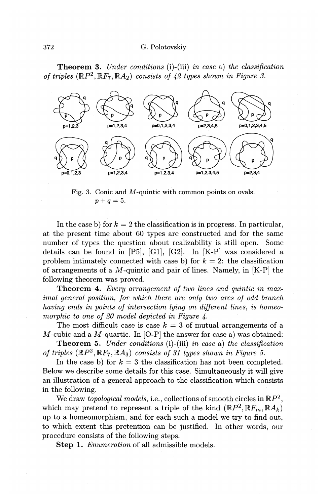Theorem 3. *Under conditions* (i)-(iii) *in case* a) *the classification of triples*  $(\mathbb{R}P^2, \mathbb{R}F_7, \mathbb{R}A_2)$  *consists of 42 types shown in Figure 3.* 



Fig. 3. Conic and M-quintic with common points on ovals;  $p+q=5.$ 

In the case b) for  $k = 2$  the classification is in progress. In particular, at the present time about 60 types are constructed and for the same number of types the question about realizability is still open. Some details can be found in  $[P5]$ ,  $[G1]$ ,  $[G2]$ . In  $[K-P]$  was considered a problem intimately connected with case b) for  $k = 2$ : the classification of arrangements of a  $M$ -quintic and pair of lines. Namely, in  $[K-P]$  the following theorem was proved.

Theorem 4. *Every arrangement of two lines and quintic in maximal general position, for which there are only two arcs of odd branch having ends in points of intersection lying on different lines, is homeomorphic to one of 20 model depicted in Figure 4.* 

The most difficult case is case  $k = 3$  of mutual arrangements of a M-cubic and a M-quartic. In  $[O-P]$  the answer for case a) was obtained:

Theorem 5. *Under conditions* (i)-(iii) *in case* a) *the classification of triples*  $(\mathbb{R}P^2, \mathbb{R}F_7, \mathbb{R}A_3)$  *consists of 31 types shown in Figure 5.* 

In the case b) for  $k = 3$  the classification has not been completed. Below we describe some details for this case. Simultaneously it will give an illustration of a general approach to the classification which consists in the following.

We draw *topological models,* i.e., collections of smooth circles in  $\mathbb{R}P^2$ , which may pretend to represent a triple of the kind  $(\mathbb{R}P^2, \mathbb{R}F_m, \mathbb{R}A_k)$ up to a homeomorphism, and for each such a model we try to find out, to which extent this pretention can be justified. In other words, our procedure consists of the following steps.

Step 1. *Enumeration* of all admissible models.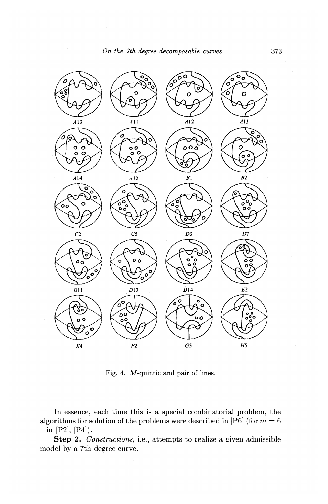

Fig. 4. M-quintic and pair of lines.

In essence, each time this is a special combinatorial problem, the algorithms for solution of the problems were described in [P6] (for  $m=6$ )  $-$  in [P2], [P4]).

**Step 2.** *Constructions,* i.e., attempts to realize a given admissible model by a 7th degree curve.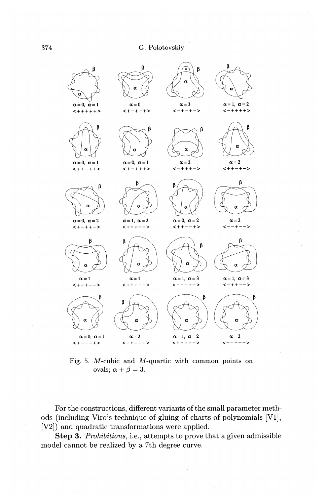

Fig. 5. M-cubic and M-quartic with common points on ovals;  $\alpha + \beta = 3$ .

For the constructions, different variants of the small parameter methods (including Viro's technique of gluing of charts of polynomials [Vl], [V2]) and quadratic transformations were applied.

**Step 3.** *Prohibitions,* i.e., attempts to prove that a given admissible model cannot be realized by a 7th degree curve.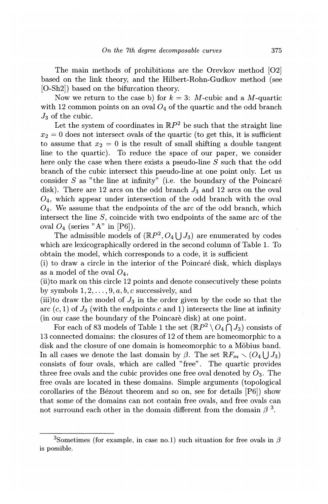The main methods of prohibitions are the Orevkov method [02] based on the link theory, and the Hilbert-Rohn-Gudkov method (see [O-Sh2]) based on the bifurcation theory.

Now we return to the case b) for  $k= 3$ : M-cubic and a M-quartic with 12 common points on an oval  $O_4$  of the quartic and the odd branch  $J_3$  of the cubic.

Let the system of coordinates in  $\mathbb{R}P^2$  be such that the straight line  $x_2 = 0$  does not intersect ovals of the quartic (to get this, it is sufficient to assume that  $x_2 = 0$  is the result of small shifting a double tangent line to the quartic). To reduce the space of our paper, we consider here only the case when there exists a pseudo-line S such that the odd branch of the cubic intersect this pseudo-line at one point only. Let us consider  $S$  as "the line at infinity" (i.e. the boundary of the Poincaré disk). There are 12 arcs on the odd branch  $J_3$  and 12 arcs on the oval  $O<sub>4</sub>$ , which appear under intersection of the odd branch with the oval  $O<sub>4</sub>$ . We assume that the endpoints of the arc of the odd branch, which intersect the line S, coincide with two endpoints of the same arc of the oval  $O_4$  (series "A" in [P6]).

The admissible models of  $(\mathbb{R}P^2, O_4 \bigcup J_3)$  are enumerated by codes which are lexicographically ordered in the second column of Table 1. To obtain the model, which corresponds to a code, it is sufficient

(i) to draw a circle in the interior of the Poincare disk, which displays as a model of the oval  $O_4$ ,

(ii)to mark on this circle 12 points and denote consecutively these points by symbols  $1, 2, \ldots, 9, a, b, c$  successively, and

(iii)to draw the model of  $J_3$  in the order given by the code so that the arc  $(c, 1)$  of  $J_3$  (with the endpoints c and 1) intersects the line at infinity (in our case the boundary of the Poincare disk) at one point.

For each of 83 models of Table 1 the set  $(\mathbb{R}P^2 \setminus O_4 \cap J_3)$  consists of 13 connected domains: the closures of 12 of them are homeomorphic to a disk and the closure of one domain is homeomorphic to a Möbius band. In all cases we denote the last domain by  $\beta$ . The set  $\mathbb{R}F_m \setminus (O_4 \cup J_3)$ consists of four ovals, which are called "free". The quartic provides three free ovals and the cubic provides one free oval denoted by  $O_3$ . The free ovals are located in these domains. Simple arguments (topological corollaries of the Bezout theorem and so on, see for details [P6]) show that some of the domains can not contain free ovals, and free ovals can not surround each other in the domain different from the domain  $\beta^3$ .

<sup>&</sup>lt;sup>3</sup>Sometimes (for example, in case no.1) such situation for free ovals in  $\beta$ is possible.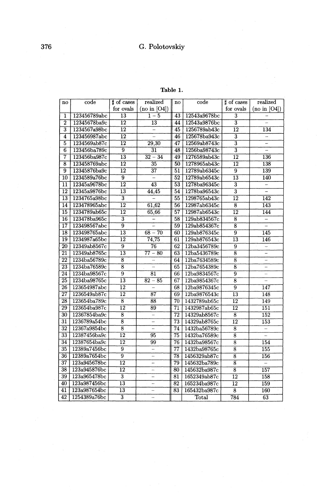Table 1.

| no                      | code         | t of cases                           | realized                 | $\mathbf{n}\mathbf{o}$ | code         | t of cases                | realized                     |
|-------------------------|--------------|--------------------------------------|--------------------------|------------------------|--------------|---------------------------|------------------------------|
|                         |              | for ovals                            | (no in [O4])             |                        |              | for ovals                 | (no in [O4])                 |
| $\overline{\mathbf{1}}$ | 123456789abc | $\overline{13}$                      | $\overline{1-5}$         | 43                     | 12543a9678bc | $\overline{3}$            |                              |
| $\overline{2}$          | 12345678ba9c | $\overline{12}$                      | $\overline{13}$          | 44                     | 12543a9876bc | $\overline{3}$            |                              |
| $\overline{3}$          | 1234567a98bc | $\overline{12}$                      | $=$                      | 45                     | 1256789ab43c | $\overline{12}$           | 134                          |
| $\overline{4}$          | 123456987abc | $\overline{12}$                      |                          | 46                     | 125678ba943c | $\overline{\mathbf{3}}$   | Ξ                            |
| 5                       | 1234569ab87c | $\overline{12}$                      | 29,30                    | 47                     | 12569ab8743c | $\overline{\overline{3}}$ | Ξ                            |
| $\overline{6}$          | 123456ba789c | $\overline{9}$                       | $\overline{31}$          | 48                     | 1256ba98743c | $\overline{\overline{3}}$ | ÷,                           |
| $\overline{7}$          | 123456ba987c | $\overline{13}$                      | $32 - 34$                | 49                     | 1276589ab43c | $\overline{12}$           | 136                          |
| $\overline{\bf 8}$      | 123458769abc | $\overline{12}$                      | 35                       | 50                     | 1278965ab43c | $\overline{12}$           | 138                          |
| $\overline{9}$          | 12345876ba9c | $\overline{12}$                      | $\overline{37}$          | 51                     | 12789ab6345c | $\overline{9}$            | 139                          |
| $\overline{10}$         | 1234589a76bc | $\overline{9}$                       |                          | $\overline{52}$        | 12789ab6543c | $\overline{13}$           | 140                          |
| $\overline{11}$         | 12345a9678bc | $\overline{12}$                      | $\overline{43}$          | $\overline{53}$        | 1278ba96345c | $\overline{\overline{3}}$ | Ξ                            |
| 12                      | 12345a9876bc | $\overline{13}$                      | 44,45                    | 54                     | 1278ba96543c | $\overline{3}$            | $\qquad \qquad \blacksquare$ |
| 13                      | 1234765a98bc | $\overline{3}$                       | Ξ                        | 55                     | 1298765ab43c | $\overline{12}$           | 142                          |
| 14                      | 123478965abc | $\overline{12}$                      | 61,62                    | 56                     | 12987ab6345c | $\overline{\bf 8}$        | 143                          |
| $\overline{15}$         | 1234789ab65c | $\overline{12}$                      | 65,66                    | 57                     | 12987ab6543c | $\overline{12}$           | 144                          |
| 16                      | 123478ba965c | $\overline{\overline{3}}$            | $\overline{\phantom{0}}$ | $\overline{58}$        | 129ab834567c | $\overline{\bf 8}$        | $\equiv$                     |
| $\overline{17}$         | 123498567abc | $\overline{9}$                       | Ξ                        | 59                     | 129ab854367c | $\overline{8}$            | Ξ                            |
| 18                      | 123498765abc | $\overline{13}$                      | $68 - 70$                | 60                     | 129ab876345c | $\overline{9}$            | 145                          |
| 19                      | 1234987a65bc | $\overline{12}$                      | 74,75                    | 61                     | 129ab876543c | $\overline{13}$           | 146                          |
| 20                      | 12349ab8567c | $\overline{9}$                       | 76                       | 62                     | 12ba3456789c | $\overline{9}$            | $\overline{\phantom{a}}$     |
| $\overline{21}$         | 12349ab8765c | $\overline{13}$                      | $77 - 80$                | 63                     | 12ba5436789c | $\overline{\mathbf{8}}$   | Ξ                            |
| $\overline{22}$         | 1234ba56789c | $\overline{\mathbf{8}}$              | $\overline{\phantom{0}}$ | 64                     | 12ba7634589c | $\overline{8}$            | ÷,                           |
| $\overline{23}$         | 1234ba76589c | $\overline{\overline{\overline{8}}}$ | $\overline{\phantom{a}}$ | $\overline{65}$        | 12ba7654389c | $\overline{8}$            | $\overline{a}$               |
| $\overline{24}$         | 1234ba98567c | $\overline{9}$                       | 81                       | 66                     | 12ba9834567c | $\overline{9}$            | Ξ                            |
| 25                      | 1234ba98765c | $\overline{13}$                      | $82 - 85$                | 67                     | 12ba9854367c | $\overline{8}$            | $\frac{1}{2}$                |
| 26                      | 123654987abc | $\overline{12}$                      |                          | 68                     | 12ba9876345c | $\overline{9}$            | 147                          |
| $\overline{27}$         | 1236549ab87c | $\overline{12}$                      | 87                       | 69                     | 12ba9876543c | $\overline{13}$           | 148                          |
| 28                      | 123654ba789c | $\overline{8}$                       | 88                       | 70                     | 1432789ab65c | 12                        | 149                          |
| 29                      | 123654ba987c | $\overline{12}$                      | 89                       | $\overline{71}$        | 1432987ab65c | $\overline{12}$           | $\overline{151}$             |
| 30                      | 12367854ba9c | $\overline{\bf 8}$                   | L,                       | 72                     | 14329ab8567c | $\overline{8}$            | 152                          |
| 31                      | 1236789a54bc | $\overline{\mathbf{8}}$              | $\overline{\phantom{0}}$ | $\overline{73}$        | 14329ab8765c | $\overline{12}$           | 153                          |
| $\overline{32}$         | 12367a9854bc | $\overline{8}$                       | L,                       | $\overline{74}$        | 1432ba56789c | $\overline{8}$            | $\overline{\phantom{0}}$     |
| 33                      | 12387456ba9c | $\overline{12}$                      | 95                       | 75                     | 1432ba76589c | $\overline{8}$            | Ξ                            |
| 34                      | 12387654ba9c | $\overline{12}$                      | 99                       | 76                     | 1432ba98567c | $\overline{8}$            | 154                          |
| 35                      | 12389a7456bc | $\overline{9}$                       | Ξ                        | $\overline{77}$        | 1432ba98765c | $\overline{\mathbf{8}}$   | 155                          |
| 36                      | 12389a7654bc | $\overline{9}$                       | L                        | 78                     | 1456329ab87c | $\overline{8}$            | 156                          |
| 37                      | 123a945678bc | $\overline{12}$                      | L,                       | $\overline{79}$        | 145632ba789c | $\overline{s}$            | $\equiv$                     |
| 38                      | 123a945876bc | $\overline{12}$                      | -                        | 80                     | 145632ba987c | $\overline{\bf 8}$        | 157                          |
| 39                      | 123a965478bc | $\overline{3}$                       | $\overline{a}$           | 81                     | 1652349ab87c | $\overline{12}$           | 158                          |
| $\overline{40}$         | 123a987456bc | $\overline{13}$                      | Ξ                        | $\overline{82}$        | 165234ba987c | $\overline{12}$           | 159                          |
| 41                      | 123a987654bc | 13                                   | L.                       | 83                     | 165432ba987c | 8                         | 160                          |
| 42                      | 1254389a76bc | $\overline{3}$                       | $\overline{a}$           |                        | Total        | 784                       | 63                           |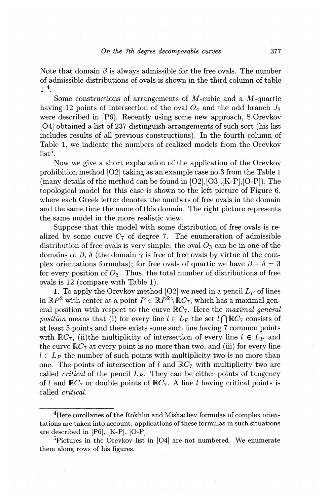Note that domain  $\beta$  is always admissible for the free ovals. The number of admissible distributions of ovals is shown in the third column of table  $1^4$ .

Some constructions of arrangements of *M* -cubic and a *M* -quartic having 12 points of intersection of the oval  $O_4$  and the odd branch  $J_3$ were described in [P6]. Recently using some new approach, S.Orevkov [04] obtained a list of 237 distinguish arrangements of such sort (his list includes results of all previous constructions). In the fourth column of Table 1, we indicate the numbers of realized models from the Orevkov  $list<sup>5</sup>$ .

Now we give a short explanation of the application of the Orevkov prohibition method [02] taking as an example case no.3 from the Table 1 (many details of the method can be found in [02],[03],[K-P],[O-P]). The topological model for this case is shown to the left picture of Figure 6, where each Greek letter denotes the numbers of free ovals in the domain and the same time the name of this domain. The right picture represents the same model in the more realistic view.

Suppose that this model with some distribution of free ovals is realized by some curve  $C_7$  of degree 7. The enumeration of admissible distribution of free ovals is very simple: the oval  $O_3$  can be in one of the domains  $\alpha$ ,  $\beta$ ,  $\delta$  (the domain  $\gamma$  is free of free ovals by virtue of the complex orientations formulas); for free ovals of quartic we have  $\beta + \delta = 3$ for every position of  $O_3$ . Thus, the total number of distributions of free ovals is 12 (compare with Table 1).

1. To apply the Orevkov method  $[O2]$  we need in a pencil  $L_P$  of lines in  $\mathbb{R}P^2$  with center at a point  $P \in \mathbb{R}P^2 \setminus \mathbb{R}C_7$ , which has a maximal general position with respect to the curve IRC7. Here the *maximal general position* means that (i) for every line  $l \in L_p$  the set  $l \cap \mathbb{R}C_7$  consists of at least 5 points and there exists some such line having 7 common points with  $\mathbb{R}C_7$ , (ii)the multiplicity of intersection of every line  $l \in L_p$  and the curve  $\mathbb{R}C_7$  at every point is no more than two, and (iii) for every line  $l \in L<sub>P</sub>$  the number of such points with multiplicity two is no more than one. The points of intersection of l and  $\mathbb{R}C_7$  with multiplicity two are called *critical* of the pencil *Lp.* They can be either points of tangency of l and  $\mathbb{R}C_7$  or double points of  $\mathbb{R}C_7$ . A line l having critical points is called *critical.* 

<sup>&</sup>lt;sup>4</sup>Here corollaries of the Rokhlin and Mishachev formulas of complex orientations are taken into account; applications of these formulas in such situations are described in [P6], [K-P], [0-P].

 ${}^{5}$ Pictures in the Orevkov list in [O4] are not numbered. We enumerate them along rows of his figures.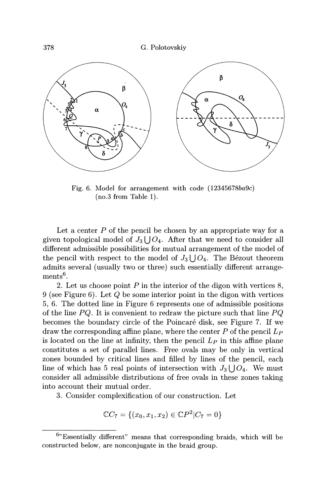378 G. Polotovskiy



Fig. 6. Model for arrangement with code (12345678ba9c) (no.3 from Table 1).

Let a center P of the pencil be chosen by an appropriate way for a given topological model of  $J_3 \bigcup O_4$ . After that we need to consider all different admissible possibilities for mutual arrangement of the model of the pencil with respect to the model of  $J_3 \cup O_4$ . The Bezout theorem admits several (usually two or three) such essentially different arrange $ments<sup>6</sup>$ .

2. Let us choose point *P* in the interior of the digon with vertices 8, 9 (see Figure 6). Let Q be some interior point in the digon with vertices 5, 6. The dotted line in Figure 6 represents one of admissible positions of the line *PQ.* It is convenient to redraw the picture such that line *PQ*  becomes the boundary circle of the Poincare disk, see Figure 7. If we draw the corresponding affine plane, where the center  $P$  of the pencil  $L_P$ is located on the line at infinity, then the pencil  $L_P$  in this affine plane constitutes a set of parallel lines. Free ovals may be only in vertical zones bounded by critical lines and filled by lines of the pencil, each line of which has 5 real points of intersection with  $J_3 \cup O_4$ . We must consider all admissible distributions of free ovals in these zones taking into account their mutual order.

3. Consider complexification of our construction. Let

$$
\mathbb{C}C_7 = \{(x_0, x_1, x_2) \in \mathbb{C}P^2 | C_7 = 0\}
$$

 $^{6}$  Essentially different" means that corresponding braids, which will be constructed below, are nonconjugate in the braid group.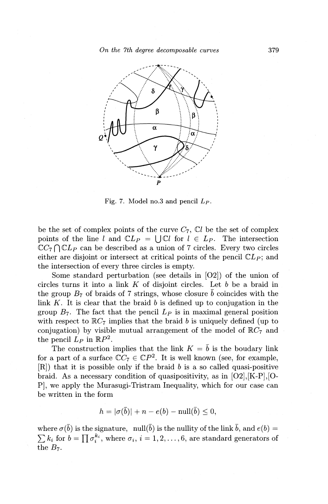

Fig. 7. Model no.3 and pencil *Lp.* 

be the set of complex points of the curve  $C_7$ ,  $\mathbb{C}l$  be the set of complex points of the line *l* and  $CL_P = \bigcup Cl$  for  $l \in L_P$ . The intersection  $\mathbb{C}C_7 \cap \mathbb{C}L_P$  can be described as a union of 7 circles. Every two circles either are disjoint or intersect at critical points of the pencil  $CL<sub>P</sub>$ ; and the intersection of every three circles is empty.

Some standard perturbation (see details in [02]) of the union of circles turns it into a link *K* of disjoint circles. Let *b* be a braid in the group  $B_7$  of braids of 7 strings, whose closure  $\bar{b}$  coincides with the link *K.* It is clear that the braid *b* is defined up to conjugation in the group  $B_7$ . The fact that the pencil  $L_P$  is in maximal general position with respect to  $\mathbb{R}C_7$  implies that the braid *b* is uniquely defined (up to conjugation) by visible mutual arrangement of the model of  $\mathbb{R}C_7$  and the pencil  $L_P$  in  $\mathbb{R}P^2$ .

The construction implies that the link  $K = \bar{b}$  is the boudary link for a part of a surface  $\mathbb{C}C_7 \in \mathbb{C}P^2$ . It is well known (see, for example, [R]) that it is possible only if the braid *b* is a so called quasi-positive braid. As a necessary condition of quasipositivity, as in  $[O2], [K-P], [O-$ P], we apply the Murasugi-Tristram Inequality, which for our case can be written in the form

$$
h = |\sigma(\bar{b})| + n - e(b) - \operatorname{null}(\bar{b}) \le 0,
$$

where  $\sigma(\bar{b})$  is the signature, null( $\bar{b}$ ) is the nullity of the link  $\bar{b}$ , and  $e(b)$  $\sum k_i$  for  $b = \prod \sigma_i^{k_i}$ , where  $\sigma_i$ ,  $i = 1, 2, ..., 6$ , are standard generators of the  $B_7$ .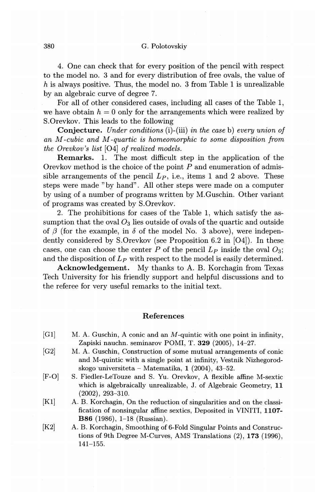## 380 G. Polotovskiy

4. One can check that for every position of the pencil with respect to the model no. 3 and for every distribution of free ovals, the value of *h* is always positive. Thus, the model no. 3 from Table 1 is unrealizable by an algebraic curve of degree 7.

For all of other considered cases, including all cases of the Table 1, we have obtain  $h = 0$  only for the arrangements which were realized by S.Orevkov. This leads to the following

Conjecture. *Under conditions* (i)-(iii) *in the case* b) *every union of an M -cubic and M -quartic is homeomorphic to some disposition from the Orevkov's list* [04] *of realized models.* 

Remarks. 1. The most difficult step in the application of the Orevkov method is the choice of the point  $P$  and enumeration of admissible arrangements of the pencil  $L_p$ , i.e., items 1 and 2 above. These steps were made "by hand". All other steps were made on a computer by using of a number of programs written by M.Guschin. Other variant of programs was created by S.Orevkov.

2. The prohibitions for cases of the Table 1, which satisfy the assumption that the oval  $O_3$  lies outside of ovals of the quartic and outside of  $\beta$  (for the example, in  $\delta$  of the model No. 3 above), were independently considered by S.Orevkov (see Proposition 6.2 in [04]). In these cases, one can choose the center *P* of the pencil  $L_P$  inside the oval  $O_3$ ; and the disposition of  $L_P$  with respect to the model is easily determined.

Acknowledgement. My thanks to A. B. Korchagin from Texas Tech University for his friendly support and helpful discussions and to the referee for very useful remarks to the initial text.

### References

- $[G1]$  M. A. Guschin, A conic and an M-quintic with one point in infinity, Zapiski nauchn. seminarov POMI, T. 329 (2005), 14-27.
- [G2] M. A. Guschin, Construction of some mutual arrangements of conic and M-quintic with a single point at infinity, Vestnik Nizhegorodskogo universiteta- Matematika, 1 (2004), 43-52.
- [F-0] S. Fiedler-LeTouze and S. Yu. Orevkov, A flexible affine M-sextic which is algebraically unrealizable, J. of Algebraic Geometry, 11 (2002), 293-310.
- [K1] A. B. Korchagin, On the reduction of singularities and on the classification of nonsingular affine sextics, Deposited in VINITI, 1107- B86 (1986), 1-18 (Russian).
- [K2] A. B. Korchagin, Smoothing of 6-Fold Singular Points and Constructions of 9th Degree M-Curves, AMS Translations (2), 173 (1996), 141-155.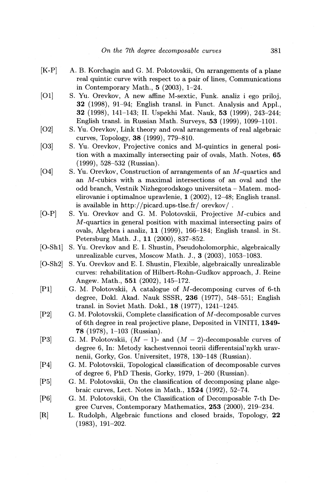- [K-P] A. B. Korchagin and G. M. Polotovskii, On arrangements of a plane real quintic curve with respect to a pair of lines, Communications in Contemporary Math., **5** (2003), 1-24.
- [01] S. Yu. Orevkov, A new affine M-sextic, Funk. analiz i ego priloj, **32** (1998), 91-94; English transl. in Funct. Analysis and Appl., **32** (1998), 141-143; II. Uspekhi Mat. Nauk, **53** (1999), 243-244; English transl. in Russian Math. Surveys, **53** (1999), 1099-1101.
- [O2] S. Yu. Orevkov, Link theory and oval arrangements of real algebraic curves, Topology, **38** (1999), 779-810.
- [03] S. Yu. Orevkov, Projective conics and M-quintics in general position with a maximally intersecting pair of ovals, Math. Notes, **65**  (1999), 528-532 (Russian).
- [04] S. Yu. Orevkov, Construction of arrangements of an M-quartics and an M-cubics with a maximal intersections of an oval and the odd branch, Vestnik Nizhegorodskogo universiteta - Matem. modelirovanie i optimalnoe upravlenie, **1** (2002), 12-48; English transl. is available in http://picard.ups-tlse.fr/ orevkov/ .
- [0-P] S. Yu. Orevkov and G. M. Polotovskii, Projective M-cubics and M-quartics in general position with maximal intersecting pairs of ovals, Algebra i analiz, 11 (1999), 166-184; English transl. in St. Petersburg Math. J., 11 (2000), 837-852.
- [0-Sh1] S. Yu. Orevkov and E. I. Shustin, Pseudoholomorphic, algebraically unrealizable curves, Moscow Math. J., **3** (2003), 1053-1083.
- [O-Sh2] S. Yu. Orevkov and E. I. Shustin, Flexible, algebraically unrealizable curves: rehabilitation of Hilbert-Rohn-Gudkov approach, J. Reine Angew. Math., **551** (2002), 145-172.
- [P1] G. M. Polotovskii, A catalogue of M-decomposing curves of 6-th degree, Dokl. Akad. Nauk SSSR, **236** (1977), 548-551; English transl. in Soviet Math. Dokl., **18** (1977), 1241-1245.
- [P2] G. M. Polotovskii, Complete classification of M-decomposable curves of 6th degree in real projective plane, Deposited in VINITI, **1349- 78** (1978), 1-103 (Russian).
- [P3] G. M. Polotovskii,  $(M-1)$  and  $(M-2)$ -decomposable curves of degree 6, In: Metody kachestvennoi teorii differentsial'nykh uravnenii, Gorky, Gos. Universitet, 1978, 13Q-148 (Russian).
- [P4] G. M. Polotovskii, Topological classification of decomposable curves of degree 6, PhD Thesis, Gorky, 1979, 1-260 (Russian).
- [P5] G. M. Polotovskii, On the classification of decomposing plane algebraic curves, Lect. Notes in Math., **1524** (1992), 52-74.
- [P6] G. M. Polotovskii, On the Classification of Decomposable 7-th Degree Curves, Contemporary Mathematics, **253** (2000), 219-234.
- [R] L. Rudolph, Algebraic functions and closed braids, Topology; **22**  (1983), 191-202.